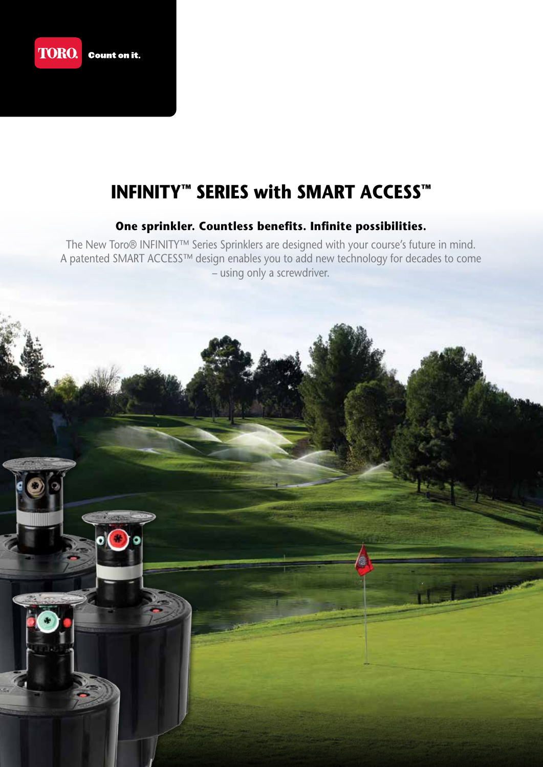

# **INFINITY™ SERIES with SMART ACCESS™**

## **One sprinkler. Countless benefits. Infinite possibilities.**

The New Toro® INFINITY™ Series Sprinklers are designed with your course's future in mind. A patented SMART ACCESS™ design enables you to add new technology for decades to come – using only a screwdriver.

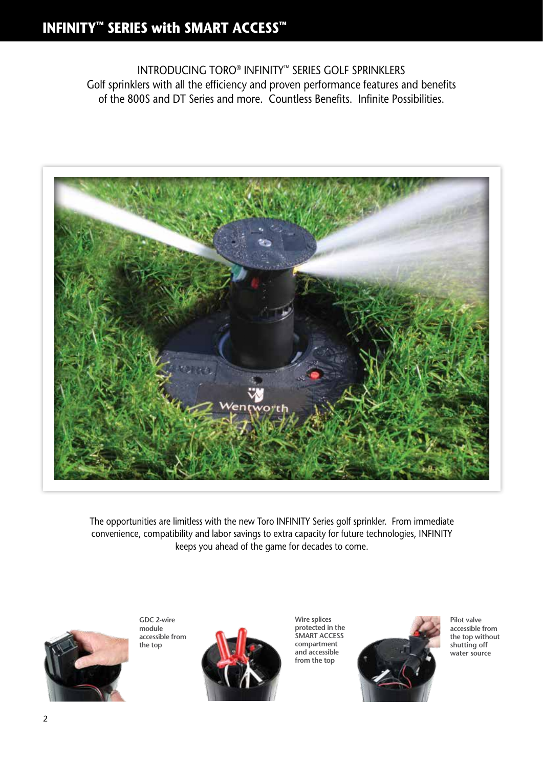INTRODUCING TORO® INFINITY™ SERIES GOLF SPRINKLERS Golf sprinklers with all the efficiency and proven performance features and benefits of the 800S and DT Series and more. Countless Benefits. Infinite Possibilities.



The opportunities are limitless with the new Toro INFINITY Series golf sprinkler. From immediate convenience, compatibility and labor savings to extra capacity for future technologies, INFINITY keeps you ahead of the game for decades to come.



**GDC 2-wire module accessible from the top**



**Wire splices protected in the SMART ACCESS compartment and accessible from the top**



**Pilot valve accessible from the top without shutting off water source**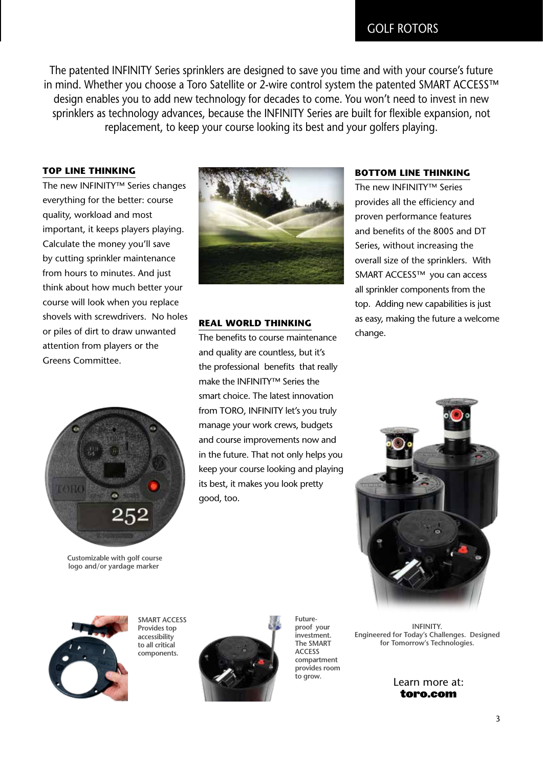The patented INFINITY Series sprinklers are designed to save you time and with your course's future in mind. Whether you choose a Toro Satellite or 2-wire control system the patented SMART ACCESS™ design enables you to add new technology for decades to come. You won't need to invest in new sprinklers as technology advances, because the INFINITY Series are built for flexible expansion, not replacement, to keep your course looking its best and your golfers playing.

### **TOP LINE THINKING**

The new INFINITY™ Series changes everything for the better: course quality, workload and most important, it keeps players playing. Calculate the money you'll save by cutting sprinkler maintenance from hours to minutes. And just think about how much better your course will look when you replace shovels with screwdrivers. No holes or piles of dirt to draw unwanted attention from players or the Greens Committee.



**Customizable with golf course logo and/or yardage marker**



### **REAL WORLD THINKING**

The benefits to course maintenance and quality are countless, but it's the professional benefits that really make the INFINITY™ Series the smart choice. The latest innovation from TORO, INFINITY let's you truly manage your work crews, budgets and course improvements now and in the future. That not only helps you keep your course looking and playing its best, it makes you look pretty good, too.

### **BOTTOM LINE THINKING**

The new INFINITY™ Series provides all the efficiency and proven performance features and benefits of the 800S and DT Series, without increasing the overall size of the sprinklers. With SMART ACCESS™ you can access all sprinkler components from the top. Adding new capabilities is just as easy, making the future a welcome change.





**SMART ACCESS Provides top accessibility to all critical components.**



**Futureproof your investment. The SMART ACCESS compartment provides room to grow.**

**INFINITY. Engineered for Today's Challenges. Designed for Tomorrow's Technologies.**

Learn more at: toro.com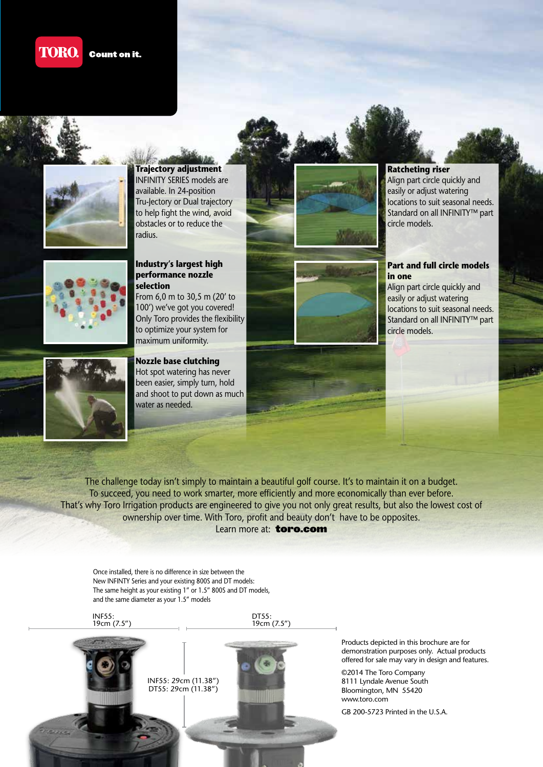#### **TORO. Count on it.**



**Trajectory adjustment** INFINITY SERIES models are available. In 24-position Tru-Jectory or Dual trajectory to help fight the wind, avoid obstacles or to reduce the radius.



#### **Industry's largest high performance nozzle selection**

From 6,0 m to 30,5 m (20' to 100') we've got you covered! Only Toro provides the flexibility to optimize your system for maximum uniformity.



## **Ratcheting riser**

Align part circle quickly and easily or adjust watering locations to suit seasonal needs. Standard on all INFINITY™ part circle models.

#### **Part and full circle models in one**

Align part circle quickly and easily or adjust watering locations to suit seasonal needs. Standard on all INFINITY™ part circle models.



**Nozzle base clutching** Hot spot watering has never been easier, simply turn, hold and shoot to put down as much water as needed.

The challenge today isn't simply to maintain a beautiful golf course. It's to maintain it on a budget. To succeed, you need to work smarter, more efficiently and more economically than ever before. That's why Toro Irrigation products are engineered to give you not only great results, but also the lowest cost of ownership over time. With Toro, profit and beauty don't have to be opposites. Learn more at: **toro.com** 

Once installed, there is no difference in size between the New INFINTY Series and your existing 800S and DT models: The same height as your existing 1" or 1.5" 800S and DT models, and the same diameter as your 1.5" models

INF55: 19cm (7.5")

DT55: 19cm (7.5")



Products depicted in this brochure are for demonstration purposes only. Actual products offered for sale may vary in design and features.

©2014 The Toro Company 8111 Lyndale Avenue South Bloomington, MN 55420 www.toro.com

GB 200-5723 Printed in the U.S.A.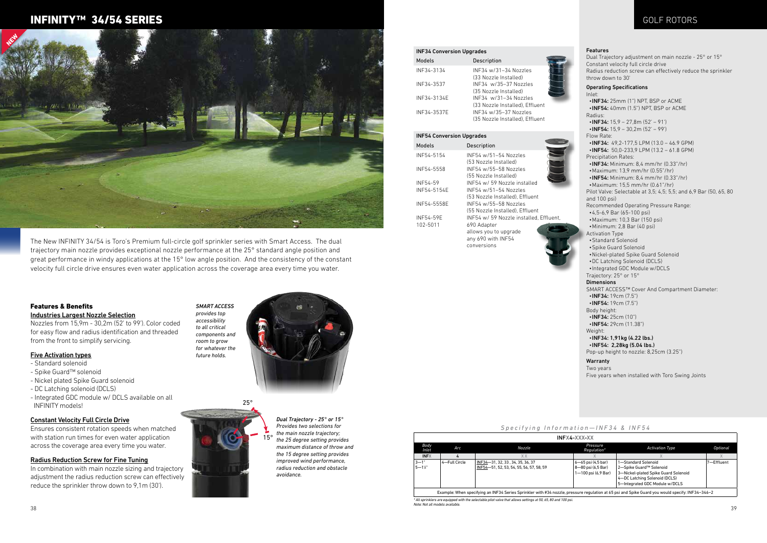#### INF34 Conversion Upgrades

| Models      | Description                     |
|-------------|---------------------------------|
| INF34-3134  | INF34 w/31-34 Nozzles           |
|             | (33 Nozzle Installed)           |
| INF34-3537  | INF34 w/35-37 Nozzles           |
|             | (35 Nozzle Installed)           |
| INF34-3134E | INF34 w/31-34 Nozzles           |
|             | (33 Nozzle Installed), Effluent |
| INF34-3537E | INF34 w/35-37 Nozzles           |
|             | (35 Nozzle Installed), Effluent |

## INF54 Conversion Upgrades Models Description

| INF54-5154  | INF54 w/51-54 Nozzles                   |
|-------------|-----------------------------------------|
|             | (53 Nozzle Installed)                   |
| INF54-5558  | INF54 w/55-58 Nozzles                   |
|             | (55 Nozzle Installed)                   |
| INF54-59    | INF54 w/ 59 Nozzle installed            |
| INF54-5154E | INF54 w/51-54 Nozzles                   |
|             | (53 Nozzle Installed). Effluent         |
| INF54-5558E | INF54 w/55-58 Nozzles                   |
|             | (55 Nozzle Installed), Effluent         |
| INF54-59E   | INF54 w/ 59 Nozzle installed, Effluent, |
| 102-5011    | 690 Adapter                             |
|             | allows you to upgrade                   |
|             | any 690 with INF54                      |

any 690 with INF54 conversions



## $Specifying Information$

#### Features

38 39 Note: Not all models available.



Dual Trajectory adjustment on main nozzle - 25° or 15° Constant velocity full circle drive Radius reduction screw can effectively reduce the sprinkler throw down to 30' Operating Specifications Inlet: •INF34: 25mm (1") NPT, BSP or ACME •INF54: 40mm (1.5") NPT, BSP or ACME Radius:  $\cdot$  INF34: 15,9 – 27,8m (52' – 91')  $\cdot$  INF54: 15.9 – 30.2m (52' – 99') Flow Rate: •INF34: 49,2-177,5 LPM (13.0 – 46.9 GPM) •INF54: 50,0-233,9 LPM (13.2 – 61.8 GPM) Precipitation Rates: •INF34: Minimum: 8,4 mm/hr (0.33"/hr) •Maximum: 13,9 mm/hr (0.55"/hr) •INF54: Minimum: 8,4 mm/hr (0.33"/hr) •Maximum: 15,5 mm/hr (0.61"/hr) Pilot Valve: Selectable at 3,5; 4,5; 5,5; and 6,9 Bar (50, 65, 80 and 100 psi) Recommended Operating Pressure Range: •4,5-6,9 Bar (65-100 psi) •Maximum: 10,3 Bar (150 psi) •Minimum: 2,8 Bar (40 psi) Activation Type •Standard Solenoid •Spike Guard Solenoid •Nickel-plated Spike Guard Solenoid •DC Latching Solenoid (DCLS) •Integrated GDC Module w/DCLS Trajectory: 25° or 15° **Dimensions** SMART ACCESS™ Cover And Compartment Diameter: •INF34: 19cm (7.5") •**INF54:** 19cm (7.5") Body height: •INF34: 25cm (10") •INF54: 29cm (11.38") Weight: •INF34: 1,91kg (4.22 lbs.) •INF54: 2,28kg (5.04 lbs.) Pop-up height to nozzle: 8,25cm (3.25") Warranty Two years Five years when installed with Toro Swing Joints

|  | on — INF34 & INF54 |  |  |  |  |  |  |  |  |  |  |  |
|--|--------------------|--|--|--|--|--|--|--|--|--|--|--|
|--|--------------------|--|--|--|--|--|--|--|--|--|--|--|

|                      | INFX4-XXX-XX  |                                                                                                                                                  |                                                                 |                                                                                                                                                           |            |  |  |  |  |  |  |  |  |
|----------------------|---------------|--------------------------------------------------------------------------------------------------------------------------------------------------|-----------------------------------------------------------------|-----------------------------------------------------------------------------------------------------------------------------------------------------------|------------|--|--|--|--|--|--|--|--|
| Body<br>Inlet        | Arc           | Nozzle                                                                                                                                           | Pressure<br>Regulation*                                         | <b>Activation Type</b>                                                                                                                                    | Optional   |  |  |  |  |  |  |  |  |
| <b>INFX</b>          | 4             | X X                                                                                                                                              |                                                                 |                                                                                                                                                           | $\wedge$   |  |  |  |  |  |  |  |  |
| $3 - 1"$<br>$5 - 1%$ | 4-Full Circle | INF34-31, 32, 33, 34, 35, 36, 37<br>INF54-51, 52, 53, 54, 55, 56, 57, 58, 59                                                                     | 6-65 psi (4,5 bar)<br>8-80 psi (6,5 Bar)<br>1-100 psi (6,9 Bar) | 1-Standard Solenoid<br>2-Spike Guard™ Solenoid<br>3-Nickel-plated Spike Guard Solenoid<br>4-DC Latching Solenoid (DCLS)<br>5-Integrated GDC Module w/DCLS | 7-Effluent |  |  |  |  |  |  |  |  |
|                      |               | Example: When specifying an INF34 Series Sprinkler with #34 nozzle, pressure regulation at 65 psi and Spike Guard you would specify: INF34-346-2 |                                                                 |                                                                                                                                                           |            |  |  |  |  |  |  |  |  |
|                      |               | * All sprinklers are equipped with the selectable pilot valve that allows settings at 50, 65, 80 and 100 psi.                                    |                                                                 |                                                                                                                                                           |            |  |  |  |  |  |  |  |  |

The New INFINITY 34/54 is Toro's Premium full-circle golf sprinkler series with Smart Access. The dual trajectory main nozzle provides exceptional nozzle performance at the 25° standard angle position and great performance in windy applications at the 15° low angle position. And the consistency of the constant velocity full circle drive ensures even water application across the coverage area every time you water.

> *SMART ACCESS provides top accessibility to all critical components and room to grow for whatever the future holds.*

## Features & Benefits

Industries Largest Nozzle Selection

Nozzles from 15,9m - 30,2m (52' to 99'). Color coded for easy flow and radius identification and threaded from the front to simplify servicing.

> *Dual Trajectory - 25° or 15° Provides two selections for the main nozzle trajectory; the 25 degree setting provides maximum distance of throw and the 15 degree setting provides improved wind performance, radius reduction and obstacle avoidance.* 15°

#### Five Activation types

- Standard solenoid
- Spike Guard™ solenoid
- Nickel plated Spike Guard solenoid
- DC Latching solenoid (DCLS)
- Integrated GDC module w/ DCLS available on all INFINITY models!

#### Constant Velocity Full Circle Drive

Ensures consistent rotation speeds when matched with station run times for even water application across the coverage area every time you water.

### Radius Reduction Screw for Fine Tuning

In combination with main nozzle sizing and trajectory adjustment the radius reduction screw can effectively reduce the sprinkler throw down to 9,1m (30').

25°



## INFINITY™ 34/54 SERIES



## GOLF ROTORS